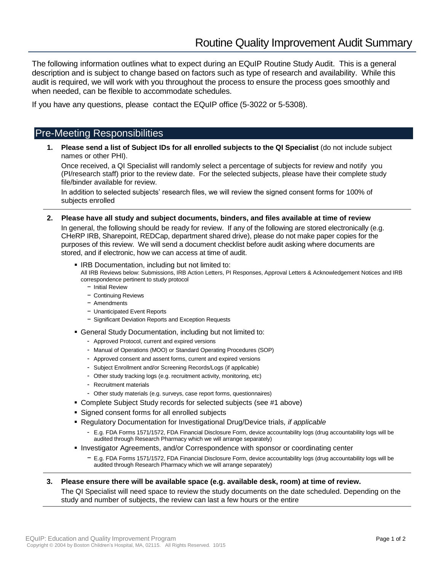The following information outlines what to expect during an EQuIP Routine Study Audit. This is a general description and is subject to change based on factors such as type of research and availability. While this audit is required, we will work with you throughout the process to ensure the process goes smoothly and when needed, can be flexible to accommodate schedules.

If you have any questions, please contact the EQuIP office (5-3022 or 5-5308).

# Pre-Meeting Responsibilities

**1. Please send a list of Subject IDs for all enrolled subjects to the QI Specialist** (do not include subject names or other PHI).

Once received, a QI Specialist will randomly select a percentage of subjects for review and notify you (PI/research staff) prior to the review date. For the selected subjects, please have their complete study file/binder available for review.

In addition to selected subjects' research files, we will review the signed consent forms for 100% of subjects enrolled

- **2. Please have all study and subject documents, binders, and files available at time of review** In general, the following should be ready for review. If any of the following are stored electronically (e.g. CHeRP IRB, Sharepoint, REDCap, department shared drive), please do not make paper copies for the purposes of this review. We will send a document checklist before audit asking where documents are stored, and if electronic, how we can access at time of audit.
	- **IRB Documentation, including but not limited to:**

All IRB Reviews below: Submissions, IRB Action Letters, PI Responses, Approval Letters & Acknowledgement Notices and IRB correspondence pertinent to study protocol

- − Initial Review
- − Continuing Reviews
- − Amendments
- − Unanticipated Event Reports
- − Significant Deviation Reports and Exception Requests
- General Study Documentation, including but not limited to:
	- Approved Protocol, current and expired versions
	- Manual of Operations (MOO) or Standard Operating Procedures (SOP)
	- Approved consent and assent forms, current and expired versions
	- Subject Enrollment and/or Screening Records/Logs (if applicable)
	- Other study tracking logs (e.g. recruitment activity, monitoring, etc)
	- Recruitment materials
	- Other study materials (e.g. surveys, case report forms, questionnaires)
- Complete Subject Study records for selected subjects (see #1 above)
- Signed consent forms for all enrolled subjects
- Regulatory Documentation for Investigational Drug/Device trials*, if applicable*
	- E.g. FDA Forms 1571/1572, FDA Financial Disclosure Form, device accountability logs (drug accountability logs will be audited through Research Pharmacy which we will arrange separately)
- **Investigator Agreements, and/or Correspondence with sponsor or coordinating center** 
	- − E.g. FDA Forms 1571/1572, FDA Financial Disclosure Form, device accountability logs (drug accountability logs will be audited through Research Pharmacy which we will arrange separately)
- **3. Please ensure there will be available space (e.g. available desk, room) at time of review.** The QI Specialist will need space to review the study documents on the date scheduled. Depending on the study and number of subjects, the review can last a few hours or the entire